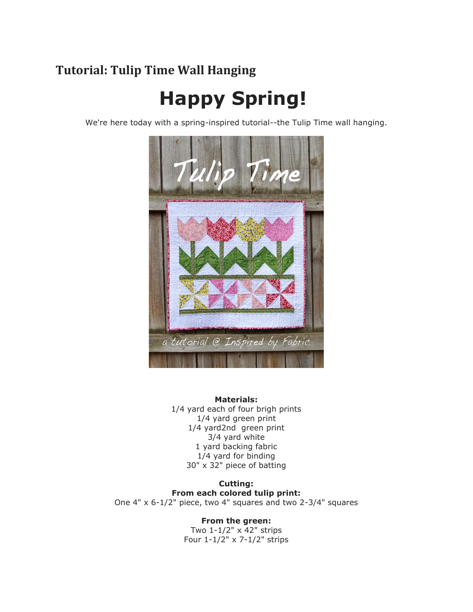# **Tutorial: Tulip Time Wall Hanging**

# **Happy Spring!**

We're here today with a spring-inspired tutorial--the Tulip Time wall hanging.



**Materials:** 1/4 yard each of four brigh prints 1/4 yard green print 1/4 yard2nd green print 3/4 yard white 1 yard backing fabric 1/4 yard for binding 30" x 32" piece of batting

**Cutting: From each colored tulip print:** One 4" x 6-1/2" piece, two 4" squares and two 2-3/4" squares

**From the green:**

Two 1-1/2" x 42" strips Four 1-1/2" x 7-1/2" strips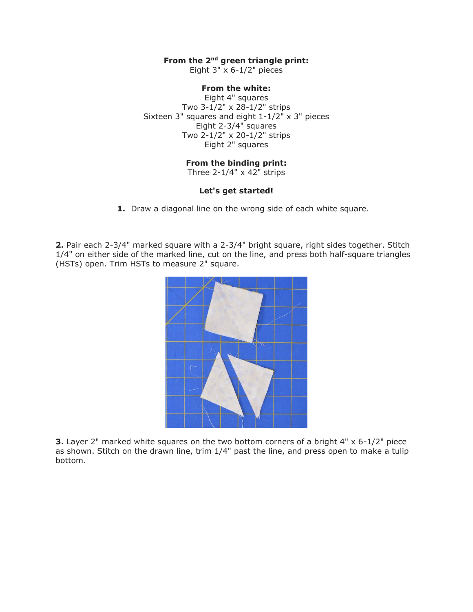## **From the 2nd green triangle print:**

Eight  $3" \times 6-1/2"$  pieces

# **From the white:**

Eight 4" squares Two 3-1/2" x 28-1/2" strips Sixteen 3" squares and eight 1-1/2" x 3" pieces Eight 2-3/4" squares Two 2-1/2" x 20-1/2" strips Eight 2" squares

#### **From the binding print:**

Three  $2-1/4" \times 42"$  strips

### **Let's get started!**

**1.** Draw a diagonal line on the wrong side of each white square.

**2.** Pair each 2-3/4" marked square with a 2-3/4" bright square, right sides together. Stitch 1/4" on either side of the marked line, cut on the line, and press both half-square triangles (HSTs) open. Trim HSTs to measure 2" square.



**3.** Layer 2" marked white squares on the two bottom corners of a bright 4" x 6-1/2" piece as shown. Stitch on the drawn line, trim 1/4" past the line, and press open to make a tulip bottom.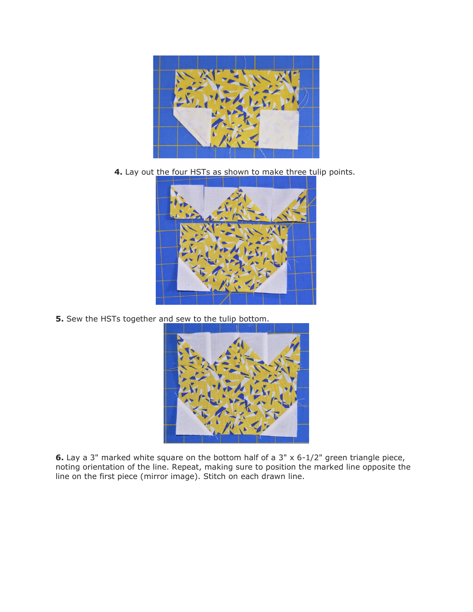

**4.** Lay out the four HSTs as shown to make three tulip points.



**5.** Sew the HSTs together and sew to the tulip bottom.



**6.** Lay a 3" marked white square on the bottom half of a 3" x 6-1/2" green triangle piece, noting orientation of the line. Repeat, making sure to position the marked line opposite the line on the first piece (mirror image). Stitch on each drawn line.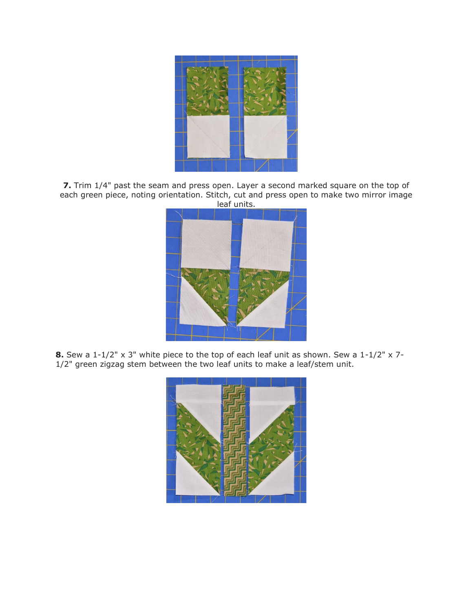

**7.** Trim 1/4" past the seam and press open. Layer a second marked square on the top of each green piece, noting orientation. Stitch, cut and press open to make two mirror image leaf units.



**8.** Sew a 1-1/2" x 3" white piece to the top of each leaf unit as shown. Sew a 1-1/2" x 7- 1/2" green zigzag stem between the two leaf units to make a leaf/stem unit.

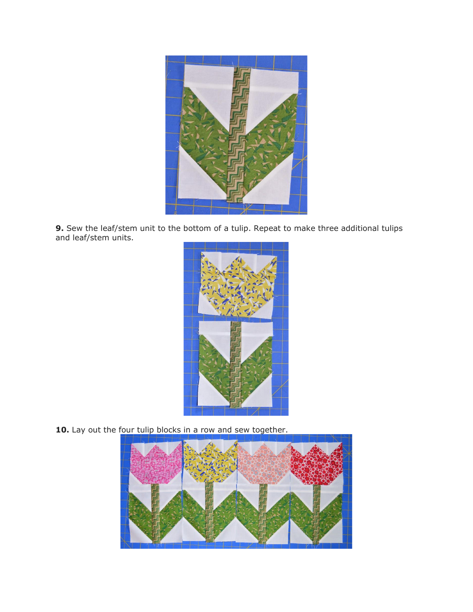

**9.** Sew the leaf/stem unit to the bottom of a tulip. Repeat to make three additional tulips and leaf/stem units.



10. Lay out the four tulip blocks in a row and sew together.